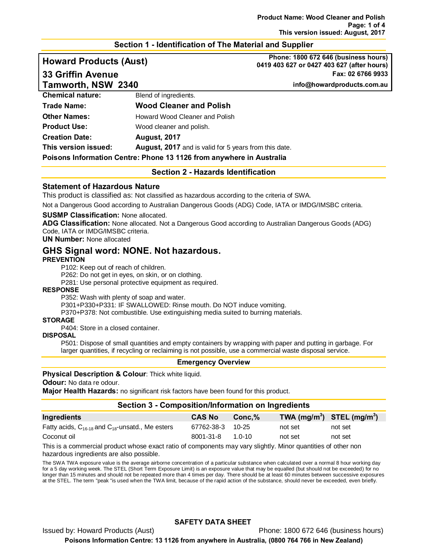## **Section 1 - Identification of The Material and Supplier**

# **Howard Products (Aust) Phone: 1800 672 646 (business hours) 0419 403 627 or 0427 403 627 (after hours) 33 Griffin Avenue Fax: 02 6766 9933 Tamworth, NSW 2340 info@howardproducts.com.au**

**Chemical nature: Blend of ingredients. Trade Name: Wood Cleaner and Polish Other Names: Howard Wood Cleaner and Polish Product Use:** Wood cleaner and polish. **Creation Date: August, 2017 This version issued: August, 2017** and is valid for 5 years from this date. **Poisons Information Centre: Phone 13 1126 from anywhere in Australia**

**Section 2 - Hazards Identification**

#### **Statement of Hazardous Nature**

This product is classified as: Not classified as hazardous according to the criteria of SWA.

Not a Dangerous Good according to Australian Dangerous Goods (ADG) Code, IATA or IMDG/IMSBC criteria.

#### **SUSMP Classification:** None allocated.

**ADG Classification:** None allocated. Not a Dangerous Good according to Australian Dangerous Goods (ADG) Code, IATA or IMDG/IMSBC criteria.

**UN Number:** None allocated

# **GHS Signal word: NONE. Not hazardous.**

#### **PREVENTION**

P102: Keep out of reach of children.

P262: Do not get in eyes, on skin, or on clothing.

P281: Use personal protective equipment as required.

#### **RESPONSE**

P352: Wash with plenty of soap and water.

P301+P330+P331: IF SWALLOWED: Rinse mouth. Do NOT induce vomiting.

P370+P378: Not combustible. Use extinguishing media suited to burning materials.

#### **STORAGE**

P404: Store in a closed container.

### **DISPOSAL**

P501: Dispose of small quantities and empty containers by wrapping with paper and putting in garbage. For larger quantities, if recycling or reclaiming is not possible, use a commercial waste disposal service.

#### **Emergency Overview**

#### **Physical Description & Colour:** Thick white liquid.

**Odour:** No data re odour.

**Major Health Hazards:** no significant risk factors have been found for this product.

### **Section 3 - Composition/Information on Ingredients**

| Ingredients                                               | <b>CAS No</b>    | $Conc.\%$ | TWA $(mg/m^3)$ STEL $(mg/m^3)$ |         |
|-----------------------------------------------------------|------------------|-----------|--------------------------------|---------|
| Fatty acids, $C_{16-18}$ and $C_{18}$ -unsatd., Me esters | 67762-38-3 10-25 |           | not set                        | not set |
| Coconut oil                                               | 8001-31-8        | 1 0-10    | not set                        | not set |

This is a commercial product whose exact ratio of components may vary slightly. Minor quantities of other non hazardous ingredients are also possible.

The SWA TWA exposure value is the average airborne concentration of a particular substance when calculated over a normal 8 hour working day for a 5 day working week. The STEL (Short Term Exposure Limit) is an exposure value that may be equalled (but should not be exceeded) for no longer than 15 minutes and should not be repeated more than 4 times per day. There should be at least 60 minutes between successive exposures at the STEL. The term "peak "is used when the TWA limit, because of the rapid action of the substance, should never be exceeded, even briefly.

#### **SAFETY DATA SHEET**

Issued by: Howard Products (Aust) Phone: 1800 672 646 (business hours)

**Poisons Information Centre: 13 1126 from anywhere in Australia, (0800 764 766 in New Zealand)**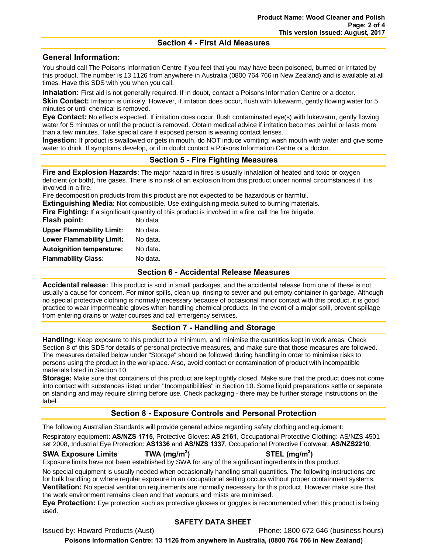## **Section 4 - First Aid Measures**

## **General Information:**

You should call The Poisons Information Centre if you feel that you may have been poisoned, burned or irritated by this product. The number is 13 1126 from anywhere in Australia (0800 764 766 in New Zealand) and is available at all times. Have this SDS with you when you call.

**Inhalation:** First aid is not generally required. If in doubt, contact a Poisons Information Centre or a doctor. **Skin Contact:** Irritation is unlikely. However, if irritation does occur, flush with lukewarm, gently flowing water for 5 minutes or until chemical is removed.

**Eye Contact:** No effects expected. If irritation does occur, flush contaminated eye(s) with lukewarm, gently flowing water for 5 minutes or until the product is removed. Obtain medical advice if irritation becomes painful or lasts more than a few minutes. Take special care if exposed person is wearing contact lenses.

**Ingestion:** If product is swallowed or gets in mouth, do NOT induce vomiting; wash mouth with water and give some water to drink. If symptoms develop, or if in doubt contact a Poisons Information Centre or a doctor.

# **Section 5 - Fire Fighting Measures**

**Fire and Explosion Hazards**: The major hazard in fires is usually inhalation of heated and toxic or oxygen deficient (or both), fire gases. There is no risk of an explosion from this product under normal circumstances if it is involved in a fire.

Fire decomposition products from this product are not expected to be hazardous or harmful.

**Extinguishing Media:** Not combustible. Use extinguishing media suited to burning materials.

**Fire Fighting:** If a significant quantity of this product is involved in a fire, call the fire brigade.

| No data  |
|----------|
| No data. |
| No data. |
| No data. |
| No data. |
|          |

## **Section 6 - Accidental Release Measures**

**Accidental release:** This product is sold in small packages, and the accidental release from one of these is not usually a cause for concern. For minor spills, clean up, rinsing to sewer and put empty container in garbage. Although no special protective clothing is normally necessary because of occasional minor contact with this product, it is good practice to wear impermeable gloves when handling chemical products. In the event of a major spill, prevent spillage from entering drains or water courses and call emergency services.

# **Section 7 - Handling and Storage**

**Handling:** Keep exposure to this product to a minimum, and minimise the quantities kept in work areas. Check Section 8 of this SDS for details of personal protective measures, and make sure that those measures are followed. The measures detailed below under "Storage" should be followed during handling in order to minimise risks to persons using the product in the workplace. Also, avoid contact or contamination of product with incompatible materials listed in Section 10.

**Storage:** Make sure that containers of this product are kept tightly closed. Make sure that the product does not come into contact with substances listed under "Incompatibilities" in Section 10. Some liquid preparations settle or separate on standing and may require stirring before use. Check packaging - there may be further storage instructions on the label.

## **Section 8 - Exposure Controls and Personal Protection**

The following Australian Standards will provide general advice regarding safety clothing and equipment: Respiratory equipment: **AS/NZS 1715**, Protective Gloves: **AS 2161**, Occupational Protective Clothing: AS/NZS 4501 set 2008, Industrial Eye Protection: **AS1336** and **AS/NZS 1337**, Occupational Protective Footwear: **AS/NZS2210**.

#### **SWA Exposure Limits TWA (mg/m3**

**) STEL (mg/m3 )**

Exposure limits have not been established by SWA for any of the significant ingredients in this product.

No special equipment is usually needed when occasionally handling small quantities. The following instructions are for bulk handling or where regular exposure in an occupational setting occurs without proper containment systems. **Ventilation:** No special ventilation requirements are normally necessary for this product. However make sure that the work environment remains clean and that vapours and mists are minimised.

**Eye Protection:** Eye protection such as protective glasses or goggles is recommended when this product is being used.

## **SAFETY DATA SHEET**

Issued by: Howard Products (Aust) Phone: 1800 672 646 (business hours)

**Poisons Information Centre: 13 1126 from anywhere in Australia, (0800 764 766 in New Zealand)**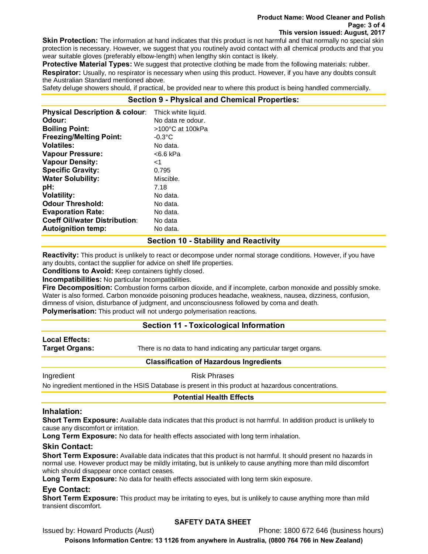#### **Product Name: Wood Cleaner and Polish Page: 3 of 4 This version issued: August, 2017**

**Skin Protection:** The information at hand indicates that this product is not harmful and that normally no special skin protection is necessary. However, we suggest that you routinely avoid contact with all chemical products and that you wear suitable gloves (preferably elbow-length) when lengthy skin contact is likely.

**Protective Material Types:** We suggest that protective clothing be made from the following materials: rubber. **Respirator:** Usually, no respirator is necessary when using this product. However, if you have any doubts consult the Australian Standard mentioned above.

Safety deluge showers should, if practical, be provided near to where this product is being handled commercially.

## **Section 9 - Physical and Chemical Properties:**

| <b>Physical Description &amp; colour:</b> | Thick white liquid. |
|-------------------------------------------|---------------------|
| Odour:                                    | No data re odour.   |
| <b>Boiling Point:</b>                     | >100°C at 100kPa    |
| <b>Freezing/Melting Point:</b>            | $-0.3$ °C           |
| <b>Volatiles:</b>                         | No data.            |
| <b>Vapour Pressure:</b>                   | <6.6 kPa            |
| <b>Vapour Density:</b>                    | ا>                  |
| <b>Specific Gravity:</b>                  | 0.795               |
| <b>Water Solubility:</b>                  | Miscible.           |
| pH:                                       | 7.18                |
| <b>Volatility:</b>                        | No data.            |
| <b>Odour Threshold:</b>                   | No data.            |
| <b>Evaporation Rate:</b>                  | No data.            |
| <b>Coeff Oil/water Distribution:</b>      | No data             |
| <b>Autoignition temp:</b>                 | No data.            |

## **Section 10 - Stability and Reactivity**

**Reactivity:** This product is unlikely to react or decompose under normal storage conditions. However, if you have any doubts, contact the supplier for advice on shelf life properties.

**Conditions to Avoid:** Keep containers tightly closed.

**Incompatibilities:** No particular Incompatibilities.

**Fire Decomposition:** Combustion forms carbon dioxide, and if incomplete, carbon monoxide and possibly smoke. Water is also formed. Carbon monoxide poisoning produces headache, weakness, nausea, dizziness, confusion, dimness of vision, disturbance of judgment, and unconsciousness followed by coma and death.

**Polymerisation:** This product will not undergo polymerisation reactions.

## **Section 11 - Toxicological Information**

# **Local Effects:**

**Target Organs:** There is no data to hand indicating any particular target organs.

#### **Classification of Hazardous Ingredients**

Ingredient **Risk Phrases** 

No ingredient mentioned in the HSIS Database is present in this product at hazardous concentrations.

## **Potential Health Effects**

#### **Inhalation:**

**Short Term Exposure:** Available data indicates that this product is not harmful. In addition product is unlikely to cause any discomfort or irritation.

**Long Term Exposure:** No data for health effects associated with long term inhalation.

## **Skin Contact:**

**Short Term Exposure:** Available data indicates that this product is not harmful. It should present no hazards in normal use. However product may be mildly irritating, but is unlikely to cause anything more than mild discomfort which should disappear once contact ceases.

**Long Term Exposure:** No data for health effects associated with long term skin exposure.

## **Eye Contact:**

**Short Term Exposure:** This product may be irritating to eyes, but is unlikely to cause anything more than mild transient discomfort.

#### **SAFETY DATA SHEET**

Issued by: Howard Products (Aust) **Phone: 1800 672 646 (business hours)** 

**Poisons Information Centre: 13 1126 from anywhere in Australia, (0800 764 766 in New Zealand)**